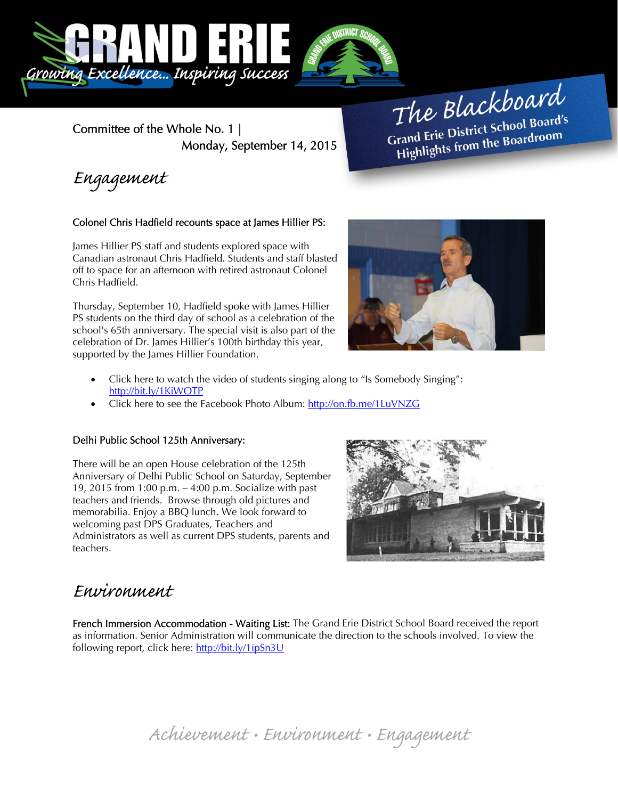

Committee of the Whole No. 1 | Monday, September 14, 2015

The Blackboard The Burner of Board's<br>Grand Erie District School Board's rand Erie District School Board<br>Highlights from the Boardroom

Engagement

## Colonel Chris Hadfield recounts space at James Hillier PS:

James Hillier PS staff and students explored space with Canadian astronaut Chris Hadfield. Students and staff blasted off to space for an afternoon with retired astronaut Colonel Chris Hadfield.

Thursday, September 10, Hadfield spoke with James Hillier PS students on the third day of school as a celebration of the school's 65th anniversary. The special visit is also part of the celebration of Dr. James Hillier's 100th birthday this year, supported by the James Hillier Foundation.



- Click here to watch the video of students singing along to "Is Somebody Singing": http://bit.ly/1KiWOTP
- Click here to see the Facebook Photo Album: http://on.fb.me/1LuVNZG

## Delhi Public School 125th Anniversary:

There will be an open House celebration of the 125th Anniversary of Delhi Public School on Saturday, September 19, 2015 from 1:00 p.m. – 4:00 p.m. Socialize with past teachers and friends. Browse through old pictures and memorabilia. Enjoy a BBQ lunch. We look forward to welcoming past DPS Graduates, Teachers and Administrators as well as current DPS students, parents and teachers.



## Environment

French Immersion Accommodation - Waiting List: The Grand Erie District School Board received the report as information. Senior Administration will communicate the direction to the schools involved. To view the following report, click here: http://bit.ly/1ipSn3U

Achievement • Environment • Engagement